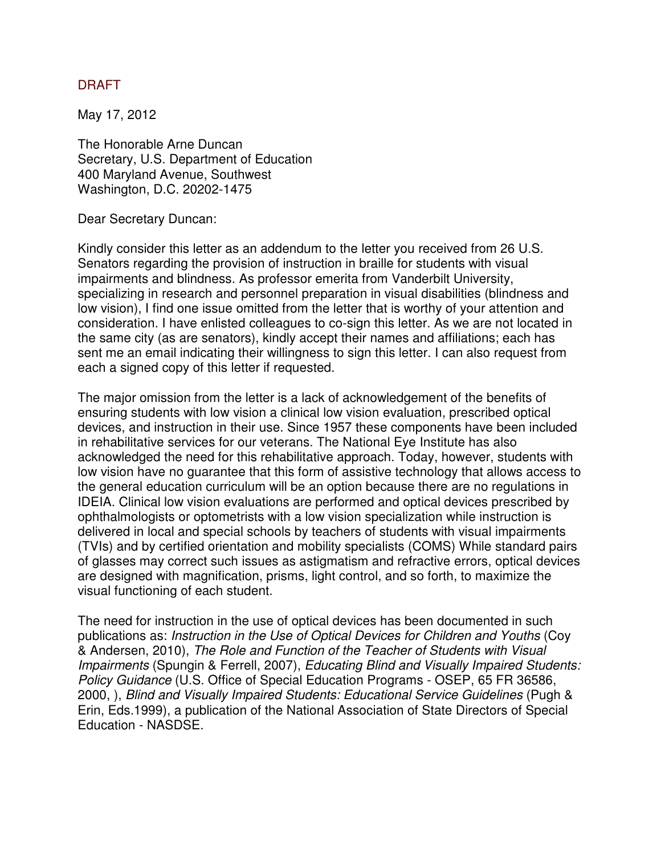## DRAFT

May 17, 2012

The Honorable Arne Duncan Secretary, U.S. Department of Education 400 Maryland Avenue, Southwest Washington, D.C. 20202-1475

Dear Secretary Duncan:

Kindly consider this letter as an addendum to the letter you received from 26 U.S. Senators regarding the provision of instruction in braille for students with visual impairments and blindness. As professor emerita from Vanderbilt University, specializing in research and personnel preparation in visual disabilities (blindness and low vision), I find one issue omitted from the letter that is worthy of your attention and consideration. I have enlisted colleagues to co-sign this letter. As we are not located in the same city (as are senators), kindly accept their names and affiliations; each has sent me an email indicating their willingness to sign this letter. I can also request from each a signed copy of this letter if requested.

The major omission from the letter is a lack of acknowledgement of the benefits of ensuring students with low vision a clinical low vision evaluation, prescribed optical devices, and instruction in their use. Since 1957 these components have been included in rehabilitative services for our veterans. The National Eye Institute has also acknowledged the need for this rehabilitative approach. Today, however, students with low vision have no guarantee that this form of assistive technology that allows access to the general education curriculum will be an option because there are no regulations in IDEIA. Clinical low vision evaluations are performed and optical devices prescribed by ophthalmologists or optometrists with a low vision specialization while instruction is delivered in local and special schools by teachers of students with visual impairments (TVIs) and by certified orientation and mobility specialists (COMS) While standard pairs of glasses may correct such issues as astigmatism and refractive errors, optical devices are designed with magnification, prisms, light control, and so forth, to maximize the visual functioning of each student.

The need for instruction in the use of optical devices has been documented in such publications as: Instruction in the Use of Optical Devices for Children and Youths (Coy & Andersen, 2010), The Role and Function of the Teacher of Students with Visual Impairments (Spungin & Ferrell, 2007), Educating Blind and Visually Impaired Students: Policy Guidance (U.S. Office of Special Education Programs - OSEP, 65 FR 36586, 2000, ), Blind and Visually Impaired Students: Educational Service Guidelines (Pugh & Erin, Eds.1999), a publication of the National Association of State Directors of Special Education - NASDSE.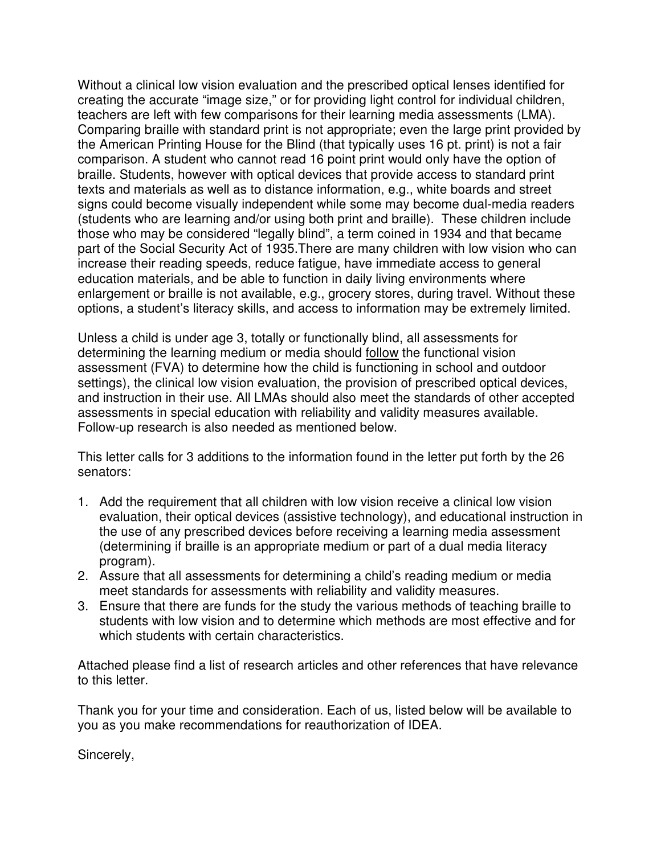Without a clinical low vision evaluation and the prescribed optical lenses identified for creating the accurate "image size," or for providing light control for individual children, teachers are left with few comparisons for their learning media assessments (LMA). Comparing braille with standard print is not appropriate; even the large print provided by the American Printing House for the Blind (that typically uses 16 pt. print) is not a fair comparison. A student who cannot read 16 point print would only have the option of braille. Students, however with optical devices that provide access to standard print texts and materials as well as to distance information, e.g., white boards and street signs could become visually independent while some may become dual-media readers (students who are learning and/or using both print and braille). These children include those who may be considered "legally blind", a term coined in 1934 and that became part of the Social Security Act of 1935.There are many children with low vision who can increase their reading speeds, reduce fatigue, have immediate access to general education materials, and be able to function in daily living environments where enlargement or braille is not available, e.g., grocery stores, during travel. Without these options, a student's literacy skills, and access to information may be extremely limited.

Unless a child is under age 3, totally or functionally blind, all assessments for determining the learning medium or media should follow the functional vision assessment (FVA) to determine how the child is functioning in school and outdoor settings), the clinical low vision evaluation, the provision of prescribed optical devices, and instruction in their use. All LMAs should also meet the standards of other accepted assessments in special education with reliability and validity measures available. Follow-up research is also needed as mentioned below.

This letter calls for 3 additions to the information found in the letter put forth by the 26 senators:

- 1. Add the requirement that all children with low vision receive a clinical low vision evaluation, their optical devices (assistive technology), and educational instruction in the use of any prescribed devices before receiving a learning media assessment (determining if braille is an appropriate medium or part of a dual media literacy program).
- 2. Assure that all assessments for determining a child's reading medium or media meet standards for assessments with reliability and validity measures.
- 3. Ensure that there are funds for the study the various methods of teaching braille to students with low vision and to determine which methods are most effective and for which students with certain characteristics.

Attached please find a list of research articles and other references that have relevance to this letter.

Thank you for your time and consideration. Each of us, listed below will be available to you as you make recommendations for reauthorization of IDEA.

Sincerely,